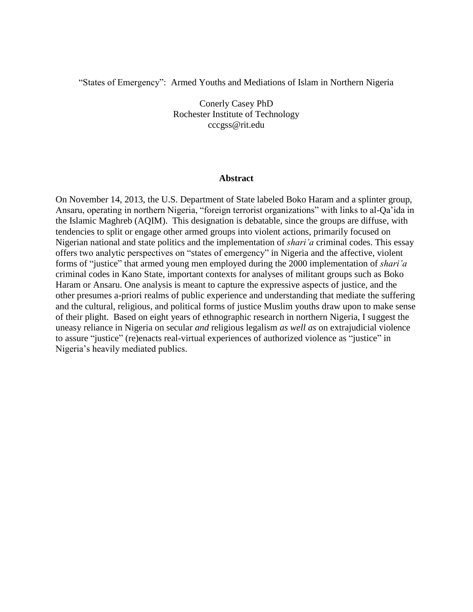"States of Emergency": Armed Youths and Mediations of Islam in Northern Nigeria

Conerly Casey PhD Rochester Institute of Technology cccgss@rit.edu

#### **Abstract**

On November 14, 2013, the U.S. Department of State labeled Boko Haram and a splinter group, Ansaru, operating in northern Nigeria, "foreign terrorist organizations" with links to al-Qa'ida in the Islamic Maghreb (AQIM). This designation is debatable, since the groups are diffuse, with tendencies to split or engage other armed groups into violent actions, primarily focused on Nigerian national and state politics and the implementation of *shari'a* criminal codes. This essay offers two analytic perspectives on "states of emergency" in Nigeria and the affective, violent forms of "justice" that armed young men employed during the 2000 implementation of *shari'a* criminal codes in Kano State, important contexts for analyses of militant groups such as Boko Haram or Ansaru. One analysis is meant to capture the expressive aspects of justice, and the other presumes a-priori realms of public experience and understanding that mediate the suffering and the cultural, religious, and political forms of justice Muslim youths draw upon to make sense of their plight. Based on eight years of ethnographic research in northern Nigeria, I suggest the uneasy reliance in Nigeria on secular *and* religious legalism *as well as* on extrajudicial violence to assure "justice" (re)enacts real-virtual experiences of authorized violence as "justice" in Nigeria's heavily mediated publics.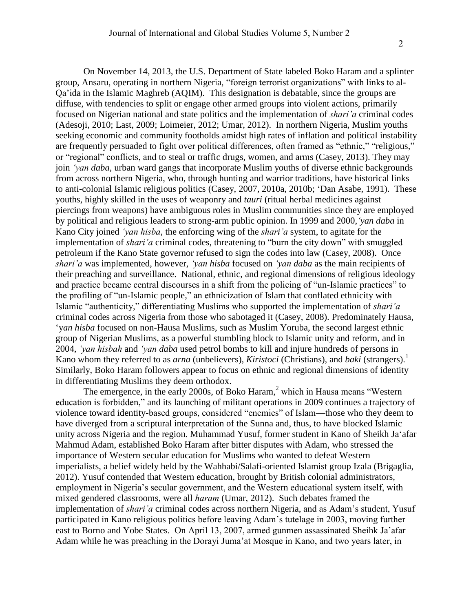On November 14, 2013, the U.S. Department of State labeled Boko Haram and a splinter group, Ansaru, operating in northern Nigeria, "foreign terrorist organizations" with links to al-Qa'ida in the Islamic Maghreb (AQIM). This designation is debatable, since the groups are diffuse, with tendencies to split or engage other armed groups into violent actions, primarily focused on Nigerian national and state politics and the implementation of *shari'a* criminal codes (Adesoji, 2010; Last, 2009; Loimeier, 2012; Umar, 2012). In northern Nigeria, Muslim youths seeking economic and community footholds amidst high rates of inflation and political instability are frequently persuaded to fight over political differences, often framed as "ethnic," "religious," or "regional" conflicts, and to steal or traffic drugs, women, and arms (Casey, 2013). They may join *'yan daba*, urban ward gangs that incorporate Muslim youths of diverse ethnic backgrounds from across northern Nigeria, who, through hunting and warrior traditions, have historical links to anti-colonial Islamic religious politics (Casey, 2007, 2010a, 2010b; 'Dan Asabe, 1991). These youths, highly skilled in the uses of weaponry and *tauri* (ritual herbal medicines against piercings from weapons) have ambiguous roles in Muslim communities since they are employed by political and religious leaders to strong-arm public opinion. In 1999 and 2000,*'yan daba* in Kano City joined *'yan hisba*, the enforcing wing of the *shari'a* system, to agitate for the implementation of *shari'a* criminal codes, threatening to "burn the city down" with smuggled petroleum if the Kano State governor refused to sign the codes into law (Casey, 2008). Once *shari'a* was implemented, however, *'yan hisba* focused on *'yan daba* as the main recipients of their preaching and surveillance. National, ethnic, and regional dimensions of religious ideology and practice became central discourses in a shift from the policing of "un-Islamic practices" to the profiling of "un-Islamic people," an ethnicization of Islam that conflated ethnicity with Islamic "authenticity," differentiating Muslims who supported the implementation of *shari'a* criminal codes across Nigeria from those who sabotaged it (Casey, 2008). Predominately Hausa, 'y*an hisba* focused on non-Hausa Muslims, such as Muslim Yoruba, the second largest ethnic group of Nigerian Muslims, as a powerful stumbling block to Islamic unity and reform, and in 2004, *'yan hisbah* and *'yan daba* used petrol bombs to kill and injure hundreds of persons in Kano whom they referred to as *arna* (unbelievers), *Kiristoci* (Christians), and *baki* (strangers).<sup>1</sup> Similarly, Boko Haram followers appear to focus on ethnic and regional dimensions of identity in differentiating Muslims they deem orthodox.

The emergence, in the early 2000s, of Boko Haram,<sup>2</sup> which in Hausa means "Western education is forbidden," and its launching of militant operations in 2009 continues a trajectory of violence toward identity-based groups, considered "enemies" of Islam—those who they deem to have diverged from a scriptural interpretation of the Sunna and, thus, to have blocked Islamic unity across Nigeria and the region. Muhammad Yusuf, former student in Kano of Sheikh Ja'afar Mahmud Adam, established Boko Haram after bitter disputes with Adam, who stressed the importance of Western secular education for Muslims who wanted to defeat Western imperialists, a belief widely held by the Wahhabi/Salafi-oriented Islamist group Izala (Brigaglia, 2012). Yusuf contended that Western education, brought by British colonial administrators, employment in Nigeria's secular government, and the Western educational system itself, with mixed gendered classrooms, were all *haram* (Umar, 2012). Such debates framed the implementation of *shari'a* criminal codes across northern Nigeria, and as Adam's student, Yusuf participated in Kano religious politics before leaving Adam's tutelage in 2003, moving further east to Borno and Yobe States. On April 13, 2007, armed gunmen assassinated Sheihk Ja'afar Adam while he was preaching in the Dorayi Juma'at Mosque in Kano, and two years later, in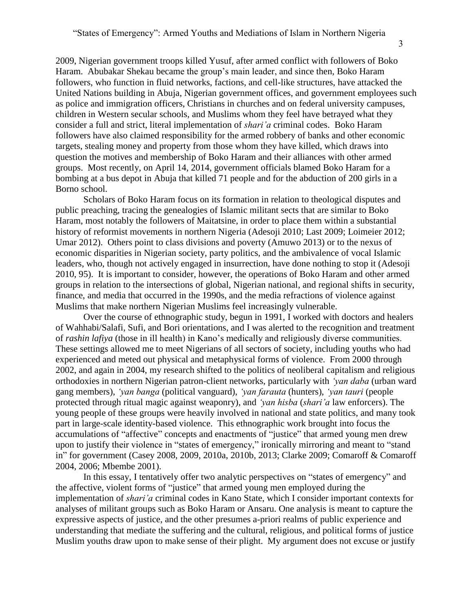3

2009, Nigerian government troops killed Yusuf, after armed conflict with followers of Boko Haram. Abubakar Shekau became the group's main leader, and since then, Boko Haram followers, who function in fluid networks, factions, and cell-like structures, have attacked the United Nations building in Abuja, Nigerian government offices, and government employees such as police and immigration officers, Christians in churches and on federal university campuses, children in Western secular schools, and Muslims whom they feel have betrayed what they consider a full and strict, literal implementation of *shari'a* criminal codes. Boko Haram followers have also claimed responsibility for the armed robbery of banks and other economic targets, stealing money and property from those whom they have killed, which draws into question the motives and membership of Boko Haram and their alliances with other armed groups. Most recently, on April 14, 2014, government officials blamed Boko Haram for a bombing at a bus depot in Abuja that killed 71 people and for the abduction of 200 girls in a Borno school.

Scholars of Boko Haram focus on its formation in relation to theological disputes and public preaching, tracing the genealogies of Islamic militant sects that are similar to Boko Haram, most notably the followers of Maitatsine, in order to place them within a substantial history of reformist movements in northern Nigeria (Adesoji 2010; Last 2009; Loimeier 2012; Umar 2012). Others point to class divisions and poverty (Amuwo 2013) or to the nexus of economic disparities in Nigerian society, party politics, and the ambivalence of vocal Islamic leaders, who, though not actively engaged in insurrection, have done nothing to stop it (Adesoji 2010, 95). It is important to consider, however, the operations of Boko Haram and other armed groups in relation to the intersections of global, Nigerian national, and regional shifts in security, finance, and media that occurred in the 1990s, and the media refractions of violence against Muslims that make northern Nigerian Muslims feel increasingly vulnerable.

Over the course of ethnographic study, begun in 1991, I worked with doctors and healers of Wahhabi/Salafi, Sufi, and Bori orientations, and I was alerted to the recognition and treatment of *rashin lafiya* (those in ill health) in Kano's medically and religiously diverse communities. These settings allowed me to meet Nigerians of all sectors of society, including youths who had experienced and meted out physical and metaphysical forms of violence. From 2000 through 2002, and again in 2004, my research shifted to the politics of neoliberal capitalism and religious orthodoxies in northern Nigerian patron-client networks, particularly with *'yan daba* (urban ward gang members), *'yan banga* (political vanguard), *'yan farauta* (hunters), *'yan tauri* (people protected through ritual magic against weaponry), and *'yan hisba* (*shari'a* law enforcers). The young people of these groups were heavily involved in national and state politics, and many took part in large-scale identity-based violence. This ethnographic work brought into focus the accumulations of "affective" concepts and enactments of "justice" that armed young men drew upon to justify their violence in "states of emergency," ironically mirroring and meant to "stand in" for government (Casey 2008, 2009, 2010a, 2010b, 2013; Clarke 2009; Comaroff & Comaroff 2004, 2006; Mbembe 2001).

In this essay, I tentatively offer two analytic perspectives on "states of emergency" and the affective, violent forms of "justice" that armed young men employed during the implementation of *shari'a* criminal codes in Kano State, which I consider important contexts for analyses of militant groups such as Boko Haram or Ansaru. One analysis is meant to capture the expressive aspects of justice, and the other presumes a-priori realms of public experience and understanding that mediate the suffering and the cultural, religious, and political forms of justice Muslim youths draw upon to make sense of their plight. My argument does not excuse or justify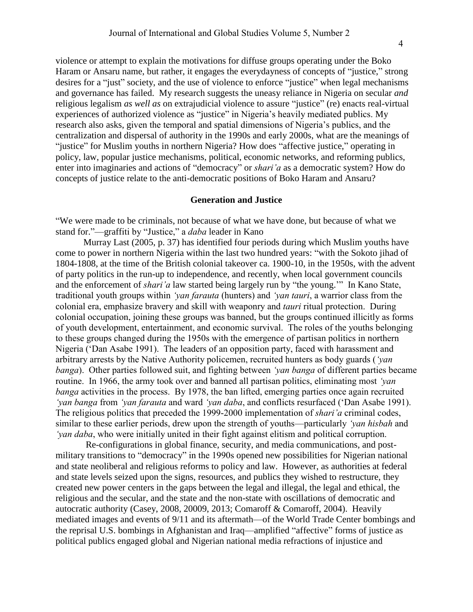violence or attempt to explain the motivations for diffuse groups operating under the Boko Haram or Ansaru name, but rather, it engages the everydayness of concepts of "justice," strong desires for a "just" society, and the use of violence to enforce "justice" when legal mechanisms and governance has failed. My research suggests the uneasy reliance in Nigeria on secular *and* religious legalism *as well as* on extrajudicial violence to assure "justice" (re) enacts real-virtual experiences of authorized violence as "justice" in Nigeria's heavily mediated publics. My research also asks, given the temporal and spatial dimensions of Nigeria's publics, and the centralization and dispersal of authority in the 1990s and early 2000s, what are the meanings of "justice" for Muslim youths in northern Nigeria? How does "affective justice," operating in policy, law, popular justice mechanisms, political, economic networks, and reforming publics, enter into imaginaries and actions of "democracy" or *shari'a* as a democratic system? How do concepts of justice relate to the anti-democratic positions of Boko Haram and Ansaru?

## **Generation and Justice**

"We were made to be criminals, not because of what we have done, but because of what we stand for."—graffiti by "Justice," a *daba* leader in Kano

Murray Last (2005, p. 37) has identified four periods during which Muslim youths have come to power in northern Nigeria within the last two hundred years: "with the Sokoto jihad of 1804-1808, at the time of the British colonial takeover ca. 1900-10, in the 1950s, with the advent of party politics in the run-up to independence, and recently, when local government councils and the enforcement of *shari'a* law started being largely run by "the young.'" In Kano State, traditional youth groups within *'yan farauta* (hunters) and *'yan tauri*, a warrior class from the colonial era, emphasize bravery and skill with weaponry and *tauri* ritual protection. During colonial occupation, joining these groups was banned, but the groups continued illicitly as forms of youth development, entertainment, and economic survival. The roles of the youths belonging to these groups changed during the 1950s with the emergence of partisan politics in northern Nigeria ('Dan Asabe 1991). The leaders of an opposition party, faced with harassment and arbitrary arrests by the Native Authority policemen, recruited hunters as body guards (*'yan banga*). Other parties followed suit, and fighting between *'yan banga* of different parties became routine. In 1966, the army took over and banned all partisan politics, eliminating most *'yan banga* activities in the process. By 1978, the ban lifted, emerging parties once again recruited *'yan banga* from *'yan farauta* and ward *'yan daba*, and conflicts resurfaced ('Dan Asabe 1991). The religious politics that preceded the 1999-2000 implementation of *shari'a* criminal codes, similar to these earlier periods, drew upon the strength of youths—particularly *'yan hisbah* and *'yan daba*, who were initially united in their fight against elitism and political corruption.

Re-configurations in global finance, security, and media communications, and postmilitary transitions to "democracy" in the 1990s opened new possibilities for Nigerian national and state neoliberal and religious reforms to policy and law. However, as authorities at federal and state levels seized upon the signs, resources, and publics they wished to restructure, they created new power centers in the gaps between the legal and illegal, the legal and ethical, the religious and the secular, and the state and the non-state with oscillations of democratic and autocratic authority (Casey, 2008, 20009, 2013; Comaroff & Comaroff, 2004). Heavily mediated images and events of 9/11 and its aftermath—of the World Trade Center bombings and the reprisal U.S. bombings in Afghanistan and Iraq—amplified "affective" forms of justice as political publics engaged global and Nigerian national media refractions of injustice and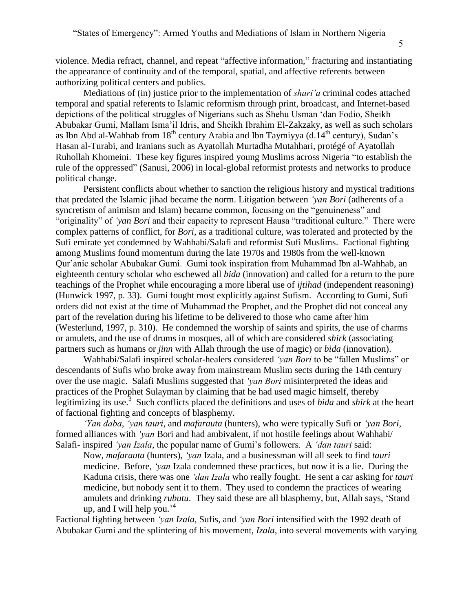violence. Media refract, channel, and repeat "affective information," fracturing and instantiating the appearance of continuity and of the temporal, spatial, and affective referents between authorizing political centers and publics.

Mediations of (in) justice prior to the implementation of *shari'a* criminal codes attached temporal and spatial referents to Islamic reformism through print, broadcast, and Internet-based depictions of the political struggles of Nigerians such as Shehu Usman 'dan Fodio, Sheikh Abubakar Gumi, Mallam Isma'il Idris, and Sheikh Ibrahim El-Zakzaky, as well as such scholars as Ibn Abd al-Wahhab from  $18^{th}$  century Arabia and Ibn Taymiyya (d.14<sup>th</sup> century), Sudan's Hasan al-Turabi, and Iranians such as Ayatollah Murtadha Mutahhari, protégé of Ayatollah Ruhollah Khomeini. These key figures inspired young Muslims across Nigeria "to establish the rule of the oppressed" (Sanusi, 2006) in local-global reformist protests and networks to produce political change.

Persistent conflicts about whether to sanction the religious history and mystical traditions that predated the Islamic jihad became the norm. Litigation between *'yan Bori* (adherents of a syncretism of animism and Islam) became common, focusing on the "genuineness" and "originality" of *'yan Bori* and their capacity to represent Hausa "traditional culture." There were complex patterns of conflict, for *Bori*, as a traditional culture, was tolerated and protected by the Sufi emirate yet condemned by Wahhabi/Salafi and reformist Sufi Muslims. Factional fighting among Muslims found momentum during the late 1970s and 1980s from the well-known Qur'anic scholar Abubakar Gumi. Gumi took inspiration from Muhammad Ibn al-Wahhab, an eighteenth century scholar who eschewed all *bida* (innovation) and called for a return to the pure teachings of the Prophet while encouraging a more liberal use of *ijtihad* (independent reasoning) (Hunwick 1997, p. 33). Gumi fought most explicitly against Sufism. According to Gumi, Sufi orders did not exist at the time of Muhammad the Prophet, and the Prophet did not conceal any part of the revelation during his lifetime to be delivered to those who came after him (Westerlund, 1997, p. 310). He condemned the worship of saints and spirits, the use of charms or amulets, and the use of drums in mosques, all of which are considered *shirk* (associating partners such as humans or *jinn* with Allah through the use of magic) or *bida* (innovation).

Wahhabi/Salafi inspired scholar-healers considered *'yan Bori* to be "fallen Muslims" or descendants of Sufis who broke away from mainstream Muslim sects during the 14th century over the use magic. Salafi Muslims suggested that *'yan Bori* misinterpreted the ideas and practices of the Prophet Sulayman by claiming that he had used magic himself, thereby legitimizing its use.<sup>3</sup> Such conflicts placed the definitions and uses of *bida* and *shirk* at the heart of factional fighting and concepts of blasphemy.

*'Yan daba*, *'yan tauri*, and *mafarauta* (hunters), who were typically Sufi or *'yan Bori*, formed alliances with *'yan* Bori and had ambivalent, if not hostile feelings about Wahhabi/ Salafi- inspired *'yan Izala*, the popular name of Gumi's followers.A *'dan tauri* said:

Now, *mafarauta* (hunters), *'yan* Izala, and a businessman will all seek to find *tauri* medicine. Before, *'yan* Izala condemned these practices, but now it is a lie. During the Kaduna crisis, there was one *'dan Izala* who really fought. He sent a car asking for *tauri* medicine, but nobody sent it to them. They used to condemn the practices of wearing amulets and drinking *rubutu*. They said these are all blasphemy, but, Allah says, 'Stand up, and I will help you.' 4

Factional fighting between *'yan Izala*, Sufis, and *'yan Bori* intensified with the 1992 death of Abubakar Gumi and the splintering of his movement, *Izala*, into several movements with varying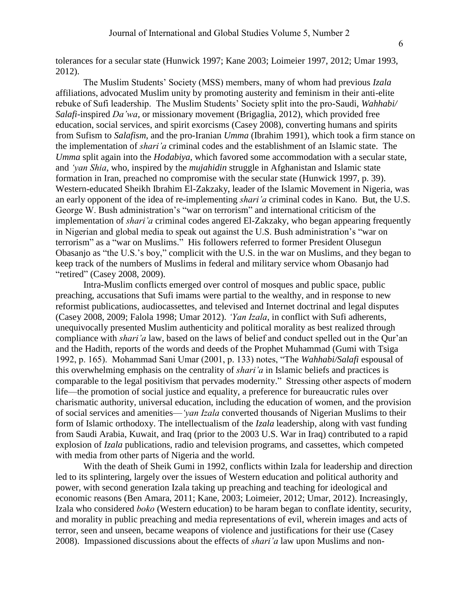tolerances for a secular state (Hunwick 1997; Kane 2003; Loimeier 1997, 2012; Umar 1993, 2012).

The Muslim Students' Society (MSS) members, many of whom had previous *Izala* affiliations, advocated Muslim unity by promoting austerity and feminism in their anti-elite rebuke of Sufi leadership. The Muslim Students' Society split into the pro-Saudi, *Wahhabi/ Salafi*-inspired *Da'wa*, or missionary movement (Brigaglia, 2012), which provided free education, social services, and spirit exorcisms (Casey 2008), converting humans and spirits from Sufism to *Salafism*, and the pro-Iranian *Umma* (Ibrahim 1991), which took a firm stance on the implementation of *shari'a* criminal codes and the establishment of an Islamic state. The *Umma* split again into the *Hodabiya*, which favored some accommodation with a secular state, and *'yan Shia*, who, inspired by the *mujahidin* struggle in Afghanistan and Islamic state formation in Iran, preached no compromise with the secular state (Hunwick 1997, p. 39). Western-educated Sheikh Ibrahim El-Zakzaky, leader of the Islamic Movement in Nigeria, was an early opponent of the idea of re-implementing *shari'a* criminal codes in Kano. But, the U.S. George W. Bush administration's "war on terrorism" and international criticism of the implementation of *shari'a* criminal codes angered El-Zakzaky, who began appearing frequently in Nigerian and global media to speak out against the U.S. Bush administration's "war on terrorism" as a "war on Muslims." His followers referred to former President Olusegun Obasanjo as "the U.S.'s boy," complicit with the U.S. in the war on Muslims, and they began to keep track of the numbers of Muslims in federal and military service whom Obasanjo had "retired" (Casey 2008, 2009).

Intra-Muslim conflicts emerged over control of mosques and public space, public preaching, accusations that Sufi imams were partial to the wealthy, and in response to new reformist publications, audiocassettes, and televised and Internet doctrinal and legal disputes (Casey 2008, 2009; Falola 1998; Umar 2012). *'Yan Izala*, in conflict with Sufi adherents, unequivocally presented Muslim authenticity and political morality as best realized through compliance with *shari'a* law, based on the laws of belief and conduct spelled out in the Qur'an and the Hadith, reports of the words and deeds of the Prophet Muhammad (Gumi with Tsiga 1992, p. 165). Mohammad Sani Umar (2001, p. 133) notes, "The *Wahhabi/Salafi* espousal of this overwhelming emphasis on the centrality of *shari'a* in Islamic beliefs and practices is comparable to the legal positivism that pervades modernity." Stressing other aspects of modern life—the promotion of social justice and equality, a preference for bureaucratic rules over charismatic authority, universal education, including the education of women, and the provision of social services and amenities—*'yan Izala* converted thousands of Nigerian Muslims to their form of Islamic orthodoxy. The intellectualism of the *Izala* leadership, along with vast funding from Saudi Arabia, Kuwait, and Iraq (prior to the 2003 U.S. War in Iraq) contributed to a rapid explosion of *Izala* publications, radio and television programs, and cassettes, which competed with media from other parts of Nigeria and the world.

With the death of Sheik Gumi in 1992, conflicts within Izala for leadership and direction led to its splintering, largely over the issues of Western education and political authority and power, with second generation Izala taking up preaching and teaching for ideological and economic reasons (Ben Amara, 2011; Kane, 2003; Loimeier, 2012; Umar, 2012). Increasingly, Izala who considered *boko* (Western education) to be haram began to conflate identity, security, and morality in public preaching and media representations of evil, wherein images and acts of terror, seen and unseen, became weapons of violence and justifications for their use (Casey 2008). Impassioned discussions about the effects of *shari'a* law upon Muslims and non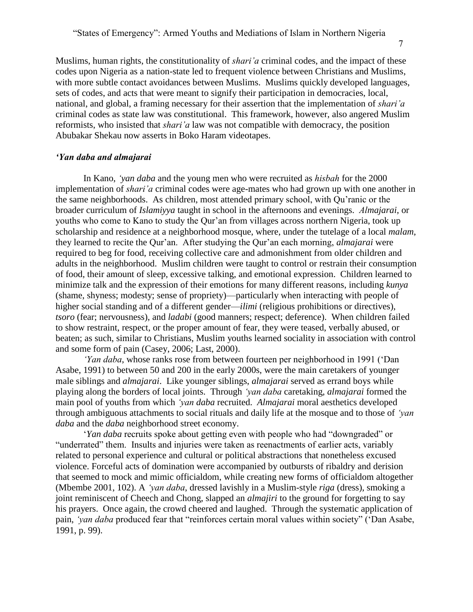Muslims, human rights, the constitutionality of *shari'a* criminal codes, and the impact of these codes upon Nigeria as a nation-state led to frequent violence between Christians and Muslims, with more subtle contact avoidances between Muslims. Muslims quickly developed languages, sets of codes, and acts that were meant to signify their participation in democracies, local, national, and global, a framing necessary for their assertion that the implementation of *shari'a* criminal codes as state law was constitutional. This framework, however, also angered Muslim reformists, who insisted that *shari'a* law was not compatible with democracy, the position Abubakar Shekau now asserts in Boko Haram videotapes.

## *'Yan daba and almajarai*

In Kano, *'yan daba* and the young men who were recruited as *hisbah* for the 2000 implementation of *shari'a* criminal codes were age-mates who had grown up with one another in the same neighborhoods. As children, most attended primary school, with Qu'ranic or the broader curriculum of *Islamiyya* taught in school in the afternoons and evenings. *Almajarai*, or youths who come to Kano to study the Qur'an from villages across northern Nigeria, took up scholarship and residence at a neighborhood mosque, where, under the tutelage of a local *malam*, they learned to recite the Qur'an. After studying the Qur'an each morning, *almajarai* were required to beg for food, receiving collective care and admonishment from older children and adults in the neighborhood. Muslim children were taught to control or restrain their consumption of food, their amount of sleep, excessive talking, and emotional expression. Children learned to minimize talk and the expression of their emotions for many different reasons, including *kunya* (shame, shyness; modesty; sense of propriety)—particularly when interacting with people of higher social standing and of a different gender—*ilimi* (religious prohibitions or directives), *tsoro* (fear; nervousness), and *ladabi* (good manners; respect; deference). When children failed to show restraint, respect, or the proper amount of fear, they were teased, verbally abused, or beaten; as such, similar to Christians, Muslim youths learned sociality in association with control and some form of pain (Casey, 2006; Last, 2000).

*'Yan daba*, whose ranks rose from between fourteen per neighborhood in 1991 ('Dan Asabe, 1991) to between 50 and 200 in the early 2000s, were the main caretakers of younger male siblings and *almajarai*. Like younger siblings, *almajarai* served as errand boys while playing along the borders of local joints. Through *'yan daba* caretaking, *almajarai* formed the main pool of youths from which *'yan daba* recruited. *Almajarai* moral aesthetics developed through ambiguous attachments to social rituals and daily life at the mosque and to those of *'yan daba* and the *daba* neighborhood street economy.

'*Yan daba* recruits spoke about getting even with people who had "downgraded" or "underrated" them. Insults and injuries were taken as reenactments of earlier acts, variably related to personal experience and cultural or political abstractions that nonetheless excused violence. Forceful acts of domination were accompanied by outbursts of ribaldry and derision that seemed to mock and mimic officialdom, while creating new forms of officialdom altogether (Mbembe 2001, 102). A *'yan daba*, dressed lavishly in a Muslim-style *riga* (dress), smoking a joint reminiscent of Cheech and Chong, slapped an *almajiri* to the ground for forgetting to say his prayers. Once again, the crowd cheered and laughed. Through the systematic application of pain, *'yan daba* produced fear that "reinforces certain moral values within society" ('Dan Asabe, 1991, p. 99).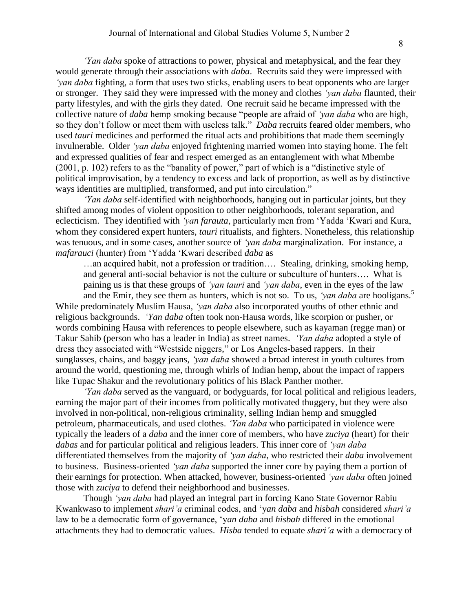*'Yan daba* spoke of attractions to power, physical and metaphysical, and the fear they would generate through their associations with *daba*. Recruits said they were impressed with *'yan daba* fighting, a form that uses two sticks, enabling users to beat opponents who are larger or stronger. They said they were impressed with the money and clothes *'yan daba* flaunted, their party lifestyles, and with the girls they dated. One recruit said he became impressed with the collective nature of *daba* hemp smoking because "people are afraid of *'yan daba* who are high, so they don't follow or meet them with useless talk." *Daba* recruits feared older members, who used *tauri* medicines and performed the ritual acts and prohibitions that made them seemingly invulnerable. Older *'yan daba* enjoyed frightening married women into staying home. The felt and expressed qualities of fear and respect emerged as an entanglement with what Mbembe (2001, p. 102) refers to as the "banality of power," part of which is a "distinctive style of political improvisation, by a tendency to excess and lack of proportion, as well as by distinctive ways identities are multiplied, transformed, and put into circulation."

*'Yan daba* self-identified with neighborhoods, hanging out in particular joints, but they shifted among modes of violent opposition to other neighborhoods, tolerant separation, and eclecticism. They identified with *'yan farauta*, particularly men from 'Yadda 'Kwari and Kura, whom they considered expert hunters, *tauri* ritualists, and fighters. Nonetheless, this relationship was tenuous, and in some cases, another source of *'yan daba* marginalization. For instance, a *mafarauci* (hunter) from 'Yadda 'Kwari described *daba* as

…an acquired habit, not a profession or tradition…. Stealing, drinking, smoking hemp, and general anti-social behavior is not the culture or subculture of hunters…. What is paining us is that these groups of *'yan tauri* and *'yan daba*, even in the eyes of the law

and the Emir, they see them as hunters, which is not so. To us, *'yan daba* are hooligans.<sup>5</sup> While predominately Muslim Hausa, *'yan daba* also incorporated youths of other ethnic and religious backgrounds. *'Yan daba* often took non-Hausa words, like scorpion or pusher, or words combining Hausa with references to people elsewhere, such as kayaman (regge man) or Takur Sahib (person who has a leader in India) as street names. *'Yan daba* adopted a style of dress they associated with "Westside niggers," or Los Angeles-based rappers. In their sunglasses, chains, and baggy jeans, *'yan daba* showed a broad interest in youth cultures from around the world, questioning me, through whirls of Indian hemp, about the impact of rappers like Tupac Shakur and the revolutionary politics of his Black Panther mother.

*'Yan daba* served as the vanguard, or bodyguards, for local political and religious leaders, earning the major part of their incomes from politically motivated thuggery, but they were also involved in non-political, non-religious criminality, selling Indian hemp and smuggled petroleum, pharmaceuticals, and used clothes. *'Yan daba* who participated in violence were typically the leaders of a *daba* and the inner core of members, who have *zuciya* (heart) for their *dabas* and for particular political and religious leaders. This inner core of *'yan daba*  differentiated themselves from the majority of *'yan daba*, who restricted their *daba* involvement to business. Business-oriented *'yan daba* supported the inner core by paying them a portion of their earnings for protection. When attacked, however, business-oriented *'yan daba* often joined those with *zuciya* to defend their neighborhood and businesses.

Though *'yan daba* had played an integral part in forcing Kano State Governor Rabiu Kwankwaso to implement *shari'a* criminal codes, and 'y*an daba* and *hisbah* considered *shari'a*  law to be a democratic form of governance, 'y*an daba* and *hisbah* differed in the emotional attachments they had to democratic values. *Hisba* tended to equate *shari'a* with a democracy of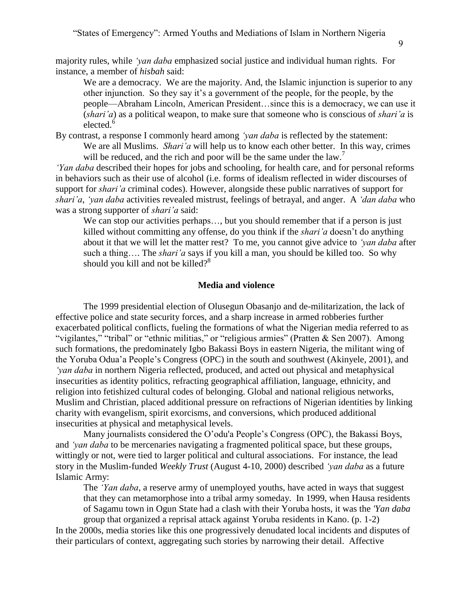majority rules, while *'yan daba* emphasized social justice and individual human rights. For instance, a member of *hisbah* said:

We are a democracy. We are the majority. And, the Islamic injunction is superior to any other injunction. So they say it's a government of the people, for the people, by the people—Abraham Lincoln, American President…since this is a democracy, we can use it (*shari'a*) as a political weapon, to make sure that someone who is conscious of *shari'a* is elected.<sup>6</sup>

By contrast, a response I commonly heard among *'yan daba* is reflected by the statement: We are all Muslims. *Shari'a* will help us to know each other better. In this way, crimes will be reduced, and the rich and poor will be the same under the  $law$ .<sup>7</sup>

*'Yan daba* described their hopes for jobs and schooling, for health care, and for personal reforms in behaviors such as their use of alcohol (i.e. forms of idealism reflected in wider discourses of support for *shari'a* criminal codes). However, alongside these public narratives of support for *shari'a*, *'yan daba* activities revealed mistrust, feelings of betrayal, and anger. A *'dan daba* who was a strong supporter of *shari'a* said:

We can stop our activities perhaps..., but you should remember that if a person is just killed without committing any offense, do you think if the *shari'a* doesn't do anything about it that we will let the matter rest? To me, you cannot give advice to *'yan daba* after such a thing…. The *shari'a* says if you kill a man, you should be killed too. So why should you kill and not be killed? $8^8$ 

## **Media and violence**

The 1999 presidential election of Olusegun Obasanjo and de-militarization, the lack of effective police and state security forces, and a sharp increase in armed robberies further exacerbated political conflicts, fueling the formations of what the Nigerian media referred to as "vigilantes," "tribal" or "ethnic militias," or "religious armies" (Pratten & Sen 2007). Among such formations, the predominately Igbo Bakassi Boys in eastern Nigeria, the militant wing of the Yoruba Odua'a People's Congress (OPC) in the south and southwest (Akinyele, 2001), and *'yan daba* in northern Nigeria reflected, produced, and acted out physical and metaphysical insecurities as identity politics, refracting geographical affiliation, language, ethnicity, and religion into fetishized cultural codes of belonging. Global and national religious networks, Muslim and Christian, placed additional pressure on refractions of Nigerian identities by linking charity with evangelism, spirit exorcisms, and conversions, which produced additional insecurities at physical and metaphysical levels.

Many journalists considered the O'odu'a People's Congress (OPC), the Bakassi Boys, and *'yan daba* to be mercenaries navigating a fragmented political space, but these groups, wittingly or not, were tied to larger political and cultural associations. For instance, the lead story in the Muslim-funded *Weekly Trust* (August 4-10, 2000) described *'yan daba* as a future Islamic Army:

The *'Yan daba*, a reserve army of unemployed youths, have acted in ways that suggest that they can metamorphose into a tribal army someday. In 1999, when Hausa residents of Sagamu town in Ogun State had a clash with their Yoruba hosts, it was the *'Yan daba* group that organized a reprisal attack against Yoruba residents in Kano. (p. 1-2)

In the 2000s, media stories like this one progressively denudated local incidents and disputes of their particulars of context, aggregating such stories by narrowing their detail. Affective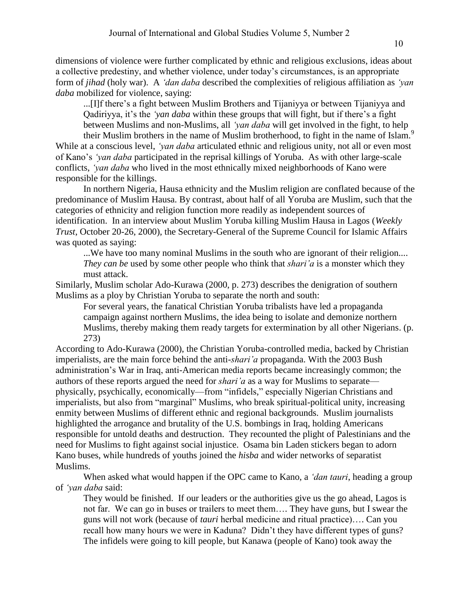dimensions of violence were further complicated by ethnic and religious exclusions, ideas about a collective predestiny, and whether violence, under today's circumstances, is an appropriate form of *jihad* (holy war). A *'dan daba* described the complexities of religious affiliation as *'yan daba* mobilized for violence, saying:

...[I]f there's a fight between Muslim Brothers and Tijaniyya or between Tijaniyya and Qadiriyya, it's the *'yan daba* within these groups that will fight, but if there's a fight between Muslims and non-Muslims, all *'yan daba* will get involved in the fight, to help their Muslim brothers in the name of Muslim brotherhood, to fight in the name of Islam.<sup>9</sup>

While at a conscious level, *'yan daba* articulated ethnic and religious unity, not all or even most of Kano's *'yan daba* participated in the reprisal killings of Yoruba. As with other large-scale conflicts, *'yan daba* who lived in the most ethnically mixed neighborhoods of Kano were responsible for the killings.

In northern Nigeria, Hausa ethnicity and the Muslim religion are conflated because of the predominance of Muslim Hausa. By contrast, about half of all Yoruba are Muslim, such that the categories of ethnicity and religion function more readily as independent sources of identification. In an interview about Muslim Yoruba killing Muslim Hausa in Lagos (*Weekly Trust*, October 20-26, 2000), the Secretary-General of the Supreme Council for Islamic Affairs was quoted as saying:

...We have too many nominal Muslims in the south who are ignorant of their religion.... *They can be* used by some other people who think that *shari'a* is a monster which they must attack.

Similarly, Muslim scholar Ado-Kurawa (2000, p. 273) describes the denigration of southern Muslims as a ploy by Christian Yoruba to separate the north and south:

For several years, the fanatical Christian Yoruba tribalists have led a propaganda campaign against northern Muslims, the idea being to isolate and demonize northern Muslims, thereby making them ready targets for extermination by all other Nigerians. (p. 273)

According to Ado-Kurawa (2000), the Christian Yoruba-controlled media, backed by Christian imperialists, are the main force behind the anti-*shari'a* propaganda. With the 2003 Bush administration's War in Iraq, anti-American media reports became increasingly common; the authors of these reports argued the need for *shari'a* as a way for Muslims to separate physically, psychically, economically—from "infidels," especially Nigerian Christians and imperialists, but also from "marginal" Muslims, who break spiritual-political unity, increasing enmity between Muslims of different ethnic and regional backgrounds. Muslim journalists highlighted the arrogance and brutality of the U.S. bombings in Iraq, holding Americans responsible for untold deaths and destruction. They recounted the plight of Palestinians and the need for Muslims to fight against social injustice. Osama bin Laden stickers began to adorn Kano buses, while hundreds of youths joined the *hisba* and wider networks of separatist Muslims.

When asked what would happen if the OPC came to Kano, a *'dan tauri*, heading a group of *'yan daba* said:

They would be finished. If our leaders or the authorities give us the go ahead, Lagos is not far. We can go in buses or trailers to meet them…. They have guns, but I swear the guns will not work (because of *tauri* herbal medicine and ritual practice)…. Can you recall how many hours we were in Kaduna? Didn't they have different types of guns? The infidels were going to kill people, but Kanawa (people of Kano) took away the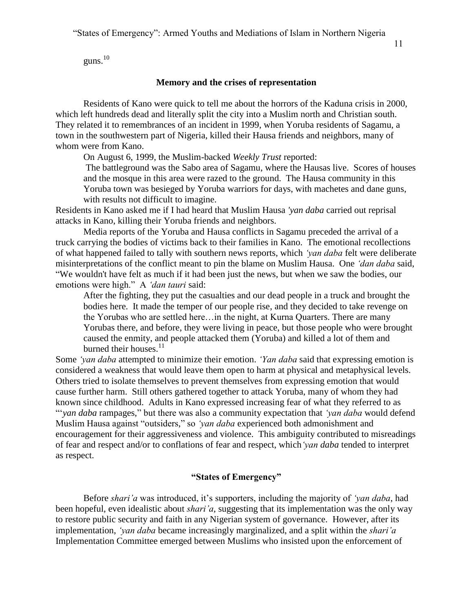"States of Emergency": Armed Youths and Mediations of Islam in Northern Nigeria

guns. 10

# **Memory and the crises of representation**

Residents of Kano were quick to tell me about the horrors of the Kaduna crisis in 2000, which left hundreds dead and literally split the city into a Muslim north and Christian south. They related it to remembrances of an incident in 1999, when Yoruba residents of Sagamu, a town in the southwestern part of Nigeria, killed their Hausa friends and neighbors, many of whom were from Kano.

On August 6, 1999, the Muslim-backed *Weekly Trust* reported:

The battleground was the Sabo area of Sagamu, where the Hausas live. Scores of houses and the mosque in this area were razed to the ground. The Hausa community in this Yoruba town was besieged by Yoruba warriors for days, with machetes and dane guns, with results not difficult to imagine.

Residents in Kano asked me if I had heard that Muslim Hausa *'yan daba* carried out reprisal attacks in Kano, killing their Yoruba friends and neighbors.

Media reports of the Yoruba and Hausa conflicts in Sagamu preceded the arrival of a truck carrying the bodies of victims back to their families in Kano. The emotional recollections of what happened failed to tally with southern news reports, which *'yan daba* felt were deliberate misinterpretations of the conflict meant to pin the blame on Muslim Hausa. One *'dan daba* said, "We wouldn't have felt as much if it had been just the news, but when we saw the bodies, our emotions were high." A *'dan tauri* said:

After the fighting, they put the casualties and our dead people in a truck and brought the bodies here. It made the temper of our people rise, and they decided to take revenge on the Yorubas who are settled here…in the night, at Kurna Quarters. There are many Yorubas there, and before, they were living in peace, but those people who were brought caused the enmity, and people attacked them (Yoruba) and killed a lot of them and burned their houses.<sup>11</sup>

Some *'yan daba* attempted to minimize their emotion. *'Yan daba* said that expressing emotion is considered a weakness that would leave them open to harm at physical and metaphysical levels. Others tried to isolate themselves to prevent themselves from expressing emotion that would cause further harm. Still others gathered together to attack Yoruba, many of whom they had known since childhood. Adults in Kano expressed increasing fear of what they referred to as "'*yan daba* rampages," but there was also a community expectation that *'yan daba* would defend Muslim Hausa against "outsiders," so *'yan daba* experienced both admonishment and encouragement for their aggressiveness and violence. This ambiguity contributed to misreadings of fear and respect and/or to conflations of fear and respect, which*'yan daba* tended to interpret as respect.

# **"States of Emergency"**

Before *shari'a* was introduced, it's supporters, including the majority of *'yan daba*, had been hopeful, even idealistic about *shari'a*, suggesting that its implementation was the only way to restore public security and faith in any Nigerian system of governance. However, after its implementation, *'yan daba* became increasingly marginalized, and a split within the *shari'a* Implementation Committee emerged between Muslims who insisted upon the enforcement of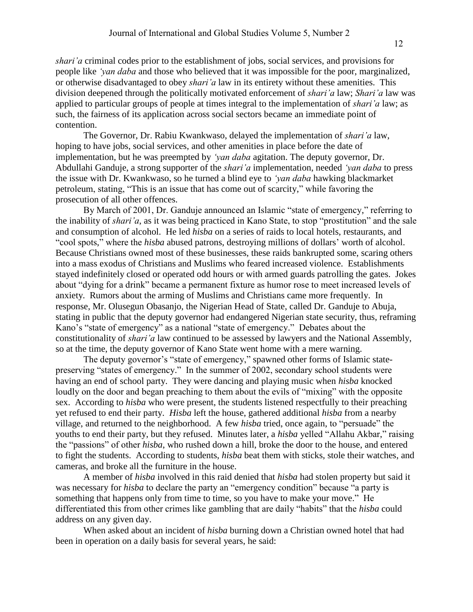*shari'a* criminal codes prior to the establishment of jobs, social services, and provisions for people like *'yan daba* and those who believed that it was impossible for the poor, marginalized, or otherwise disadvantaged to obey *shari'a* law in its entirety without these amenities. This division deepened through the politically motivated enforcement of *shari'a* law; *Shari'a* law was applied to particular groups of people at times integral to the implementation of *shari'a* law; as such, the fairness of its application across social sectors became an immediate point of contention.

The Governor, Dr. Rabiu Kwankwaso, delayed the implementation of *shari'a* law, hoping to have jobs, social services, and other amenities in place before the date of implementation, but he was preempted by *'yan daba* agitation. The deputy governor, Dr. Abdullahi Ganduje, a strong supporter of the *shari'a* implementation, needed *'yan daba* to press the issue with Dr. Kwankwaso, so he turned a blind eye to *'yan daba* hawking blackmarket petroleum, stating, "This is an issue that has come out of scarcity," while favoring the prosecution of all other offences.

By March of 2001, Dr. Ganduje announced an Islamic "state of emergency," referring to the inability of *shari'a*, as it was being practiced in Kano State, to stop "prostitution" and the sale and consumption of alcohol. He led *hisba* on a series of raids to local hotels, restaurants, and "cool spots," where the *hisba* abused patrons, destroying millions of dollars' worth of alcohol. Because Christians owned most of these businesses, these raids bankrupted some, scaring others into a mass exodus of Christians and Muslims who feared increased violence. Establishments stayed indefinitely closed or operated odd hours or with armed guards patrolling the gates. Jokes about "dying for a drink" became a permanent fixture as humor rose to meet increased levels of anxiety. Rumors about the arming of Muslims and Christians came more frequently. In response, Mr. Olusegun Obasanjo, the Nigerian Head of State, called Dr. Ganduje to Abuja, stating in public that the deputy governor had endangered Nigerian state security, thus, reframing Kano's "state of emergency" as a national "state of emergency." Debates about the constitutionality of *shari'a* law continued to be assessed by lawyers and the National Assembly, so at the time, the deputy governor of Kano State went home with a mere warning.

The deputy governor's "state of emergency," spawned other forms of Islamic statepreserving "states of emergency." In the summer of 2002, secondary school students were having an end of school party. They were dancing and playing music when *hisba* knocked loudly on the door and began preaching to them about the evils of "mixing" with the opposite sex. According to *hisba* who were present, the students listened respectfully to their preaching yet refused to end their party. *Hisba* left the house, gathered additional *hisba* from a nearby village, and returned to the neighborhood. A few *hisba* tried, once again, to "persuade" the youths to end their party, but they refused. Minutes later, a *hisba* yelled "Allahu Akbar," raising the "passions" of other *hisba*, who rushed down a hill, broke the door to the house, and entered to fight the students. According to students, *hisba* beat them with sticks, stole their watches, and cameras, and broke all the furniture in the house.

A member of *hisba* involved in this raid denied that *hisba* had stolen property but said it was necessary for *hisba* to declare the party an "emergency condition" because "a party is something that happens only from time to time, so you have to make your move." He differentiated this from other crimes like gambling that are daily "habits" that the *hisba* could address on any given day.

When asked about an incident of *hisba* burning down a Christian owned hotel that had been in operation on a daily basis for several years, he said: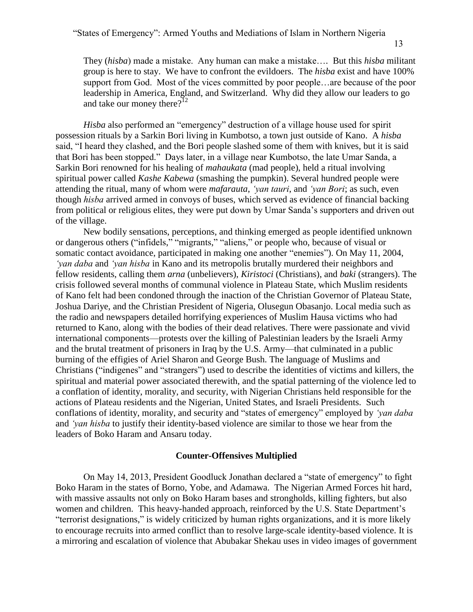They (*hisba*) made a mistake. Any human can make a mistake…. But this *hisba* militant group is here to stay. We have to confront the evildoers. The *hisba* exist and have 100% support from God. Most of the vices committed by poor people…are because of the poor leadership in America, England, and Switzerland. Why did they allow our leaders to go and take our money there? $12$ 

*Hisba* also performed an "emergency" destruction of a village house used for spirit possession rituals by a Sarkin Bori living in Kumbotso, a town just outside of Kano. A *hisba* said, "I heard they clashed, and the Bori people slashed some of them with knives, but it is said that Bori has been stopped." Days later, in a village near Kumbotso, the late Umar Sanda, a Sarkin Bori renowned for his healing of *mahaukata* (mad people), held a ritual involving spiritual power called *Kashe Kabewa* (smashing the pumpkin). Several hundred people were attending the ritual, many of whom were *mafarauta*, *'yan tauri*, and *'yan Bori*; as such, even though *hisba* arrived armed in convoys of buses, which served as evidence of financial backing from political or religious elites, they were put down by Umar Sanda's supporters and driven out of the village.

New bodily sensations, perceptions, and thinking emerged as people identified unknown or dangerous others ("infidels," "migrants," "aliens," or people who, because of visual or somatic contact avoidance, participated in making one another "enemies"). On May 11, 2004, *'yan daba* and *'yan hisba* in Kano and its metropolis brutally murdered their neighbors and fellow residents, calling them *arna* (unbelievers), *Kiristoci* (Christians), and *baki* (strangers). The crisis followed several months of communal violence in Plateau State, which Muslim residents of Kano felt had been condoned through the inaction of the Christian Governor of Plateau State, Joshua Dariye, and the Christian President of Nigeria, Olusegun Obasanjo. Local media such as the radio and newspapers detailed horrifying experiences of Muslim Hausa victims who had returned to Kano, along with the bodies of their dead relatives. There were passionate and vivid international components—protests over the killing of Palestinian leaders by the Israeli Army and the brutal treatment of prisoners in Iraq by the U.S. Army—that culminated in a public burning of the effigies of Ariel Sharon and George Bush. The language of Muslims and Christians ("indigenes" and "strangers") used to describe the identities of victims and killers, the spiritual and material power associated therewith, and the spatial patterning of the violence led to a conflation of identity, morality, and security, with Nigerian Christians held responsible for the actions of Plateau residents and the Nigerian, United States, and Israeli Presidents. Such conflations of identity, morality, and security and "states of emergency" employed by *'yan daba*  and *'yan hisba* to justify their identity-based violence are similar to those we hear from the leaders of Boko Haram and Ansaru today.

## **Counter-Offensives Multiplied**

On May 14, 2013, President Goodluck Jonathan declared a "state of emergency" to fight Boko Haram in the states of Borno, Yobe, and Adamawa. The Nigerian Armed Forces hit hard, with massive assaults not only on Boko Haram bases and strongholds, killing fighters, but also women and children. This heavy-handed approach, reinforced by the U.S. State Department's "terrorist designations," is widely criticized by human rights organizations, and it is more likely to encourage recruits into armed conflict than to resolve large-scale identity-based violence. It is a mirroring and escalation of violence that Abubakar Shekau uses in video images of government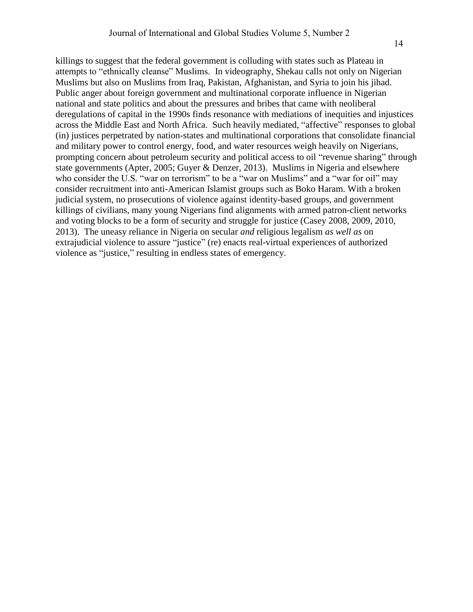killings to suggest that the federal government is colluding with states such as Plateau in attempts to "ethnically cleanse" Muslims. In videography, Shekau calls not only on Nigerian Muslims but also on Muslims from Iraq, Pakistan, Afghanistan, and Syria to join his jihad. Public anger about foreign government and multinational corporate influence in Nigerian national and state politics and about the pressures and bribes that came with neoliberal deregulations of capital in the 1990s finds resonance with mediations of inequities and injustices across the Middle East and North Africa. Such heavily mediated, "affective" responses to global (in) justices perpetrated by nation-states and multinational corporations that consolidate financial and military power to control energy, food, and water resources weigh heavily on Nigerians, prompting concern about petroleum security and political access to oil "revenue sharing" through state governments (Apter, 2005; Guyer & Denzer, 2013). Muslims in Nigeria and elsewhere who consider the U.S. "war on terrorism" to be a "war on Muslims" and a "war for oil" may consider recruitment into anti-American Islamist groups such as Boko Haram. With a broken judicial system, no prosecutions of violence against identity-based groups, and government killings of civilians, many young Nigerians find alignments with armed patron-client networks and voting blocks to be a form of security and struggle for justice (Casey 2008, 2009, 2010, 2013). The uneasy reliance in Nigeria on secular *and* religious legalism *as well as* on extrajudicial violence to assure "justice" (re) enacts real-virtual experiences of authorized violence as "justice," resulting in endless states of emergency.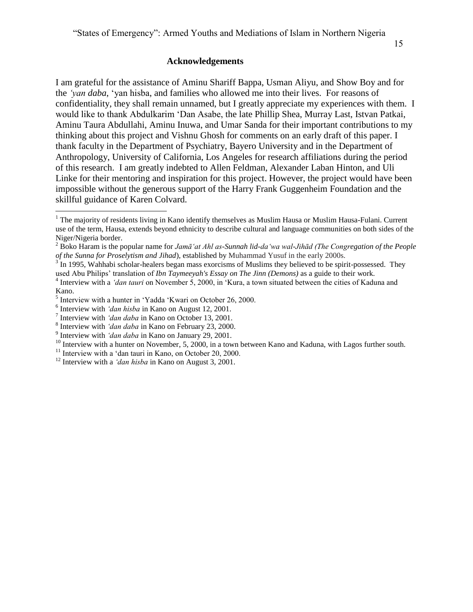## **Acknowledgements**

I am grateful for the assistance of Aminu Shariff Bappa, Usman Aliyu, and Show Boy and for the *'yan daba*, 'yan hisba, and families who allowed me into their lives. For reasons of confidentiality, they shall remain unnamed, but I greatly appreciate my experiences with them. I would like to thank Abdulkarim 'Dan Asabe, the late Phillip Shea, Murray Last, Istvan Patkai, Aminu Taura Abdullahi, Aminu Inuwa, and Umar Sanda for their important contributions to my thinking about this project and Vishnu Ghosh for comments on an early draft of this paper. I thank faculty in the Department of Psychiatry, Bayero University and in the Department of Anthropology, University of California, Los Angeles for research affiliations during the period of this research. I am greatly indebted to Allen Feldman, Alexander Laban Hinton, and Uli Linke for their mentoring and inspiration for this project. However, the project would have been impossible without the generous support of the Harry Frank Guggenheim Foundation and the skillful guidance of Karen Colvard.

 $\overline{a}$ 

<sup>&</sup>lt;sup>1</sup> The majority of residents living in Kano identify themselves as Muslim Hausa or Muslim Hausa-Fulani. Current use of the term, Hausa, extends beyond ethnicity to describe cultural and language communities on both sides of the Niger/Nigeria border.

<sup>2</sup> Boko Haram is the popular name for *Jamāʻat Ahl as-Sunnah lid-daʻwa wal-Jihād (The Congregation of the People of the Sunna for Proselytism and Jihad*), established by Muhammad Yusuf in the early 2000s.

 $3^3$  In 1995, Wahhabi scholar-healers began mass exorcisms of Muslims they believed to be spirit-possessed. They used Abu Philips' translation of *Ibn Taymeeyah's Essay on The Jinn (Demons)* as a guide to their work.

<sup>4</sup> Interview with a *'dan tauri* on November 5, 2000, in 'Kura, a town situated between the cities of Kaduna and Kano.

<sup>&</sup>lt;sup>5</sup> Interview with a hunter in 'Yadda 'Kwari on October 26, 2000.

<sup>6</sup> Interview with *'dan hisba* in Kano on August 12, 2001.

<sup>7</sup> Interview with *'dan daba* in Kano on October 13, 2001.

<sup>8</sup> Interview with *'dan daba* in Kano on February 23, 2000.

<sup>9</sup> Interview with *'dan daba* in Kano on January 29, 2001.

 $10$  Interview with a hunter on November, 5, 2000, in a town between Kano and Kaduna, with Lagos further south.

 $11$  Interview with a 'dan tauri in Kano, on October 20, 2000.

<sup>12</sup> Interview with a *'dan hisba* in Kano on August 3, 2001.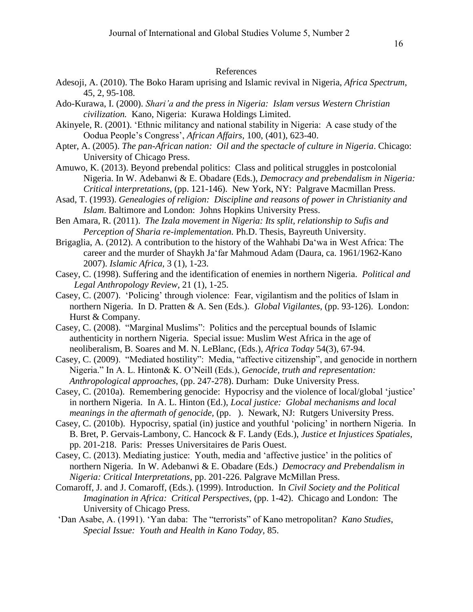## References

- Adesoji, A. (2010). The Boko Haram uprising and Islamic revival in Nigeria, *Africa Spectrum*, 45, 2, 95-108.
- Ado-Kurawa, I. (2000). *Shari'a and the press in Nigeria: Islam versus Western Christian civilization.* Kano, Nigeria: Kurawa Holdings Limited.
- Akinyele, R. (2001). 'Ethnic militancy and national stability in Nigeria: A case study of the Oodua People's Congress', *African Affairs,* 100, (401), 623-40.
- Apter, A. (2005). *The pan-African nation: Oil and the spectacle of culture in Nigeria*. Chicago: University of Chicago Press.
- Amuwo, K. (2013). Beyond prebendal politics: Class and political struggles in postcolonial Nigeria. In W. Adebanwi & E. Obadare (Eds.), *Democracy and prebendalism in Nigeria: Critical interpretations*, (pp. 121-146). New York, NY: Palgrave Macmillan Press.
- Asad, T. (1993). *Genealogies of religion: Discipline and reasons of power in Christianity and Islam*. Baltimore and London: Johns Hopkins University Press.
- Ben Amara, R. (2011). *The Izala movement in Nigeria: Its split, relationship to Sufis and Perception of Sharia re-implementation.* Ph.D. Thesis, Bayreuth University.
- Brigaglia, A. (2012). A contribution to the history of the Wahhabi Da'wa in West Africa: The career and the murder of Shaykh Ja'far Mahmoud Adam (Daura, ca. 1961/1962-Kano 2007). *Islamic Africa,* 3 (1), 1-23.
- Casey, C. (1998). Suffering and the identification of enemies in northern Nigeria. *Political and Legal Anthropology Review*, 21 (1), 1-25.
- Casey, C. (2007). 'Policing' through violence: Fear, vigilantism and the politics of Islam in northern Nigeria. In D. Pratten & A. Sen (Eds.). *Global Vigilantes*, (pp. 93-126). London: Hurst & Company.
- Casey, C. (2008). "Marginal Muslims": Politics and the perceptual bounds of Islamic authenticity in northern Nigeria. Special issue: Muslim West Africa in the age of neoliberalism, B. Soares and M. N. LeBlanc, (Eds.), *Africa Today* 54(3), 67-94.
- Casey, C. (2009). "Mediated hostility": Media, "affective citizenship", and genocide in northern Nigeria." In A. L. Hinton& K. O'Neill (Eds.), *Genocide, truth and representation: Anthropological approaches*, (pp. 247-278). Durham: Duke University Press.
- Casey, C. (2010a). Remembering genocide: Hypocrisy and the violence of local/global 'justice' in northern Nigeria. In A. L. Hinton (Ed.), *Local justice: Global mechanisms and local meanings in the aftermath of genocide,* (pp. ). Newark, NJ: Rutgers University Press.
- Casey, C. (2010b). Hypocrisy, spatial (in) justice and youthful 'policing' in northern Nigeria. In B. Bret, P. Gervais-Lambony, C. Hancock & F. Landy (Eds.), *Justice et Injustices Spatiales*, pp. 201-218. Paris: Presses Universitaires de Paris Ouest.
- Casey, C. (2013). Mediating justice: Youth, media and 'affective justice' in the politics of northern Nigeria. In W. Adebanwi & E. Obadare (Eds.) *Democracy and Prebendalism in Nigeria: Critical Interpretations*, pp. 201-226. Palgrave McMillan Press.
- Comaroff, J. and J. Comaroff, (Eds.). (1999). Introduction. In *Civil Society and the Political Imagination in Africa: Critical Perspectives*, (pp. 1-42). Chicago and London: The University of Chicago Press.
- 'Dan Asabe, A. (1991). 'Yan daba: The "terrorists" of Kano metropolitan? *Kano Studies*, *Special Issue: Youth and Health in Kano Today,* 85.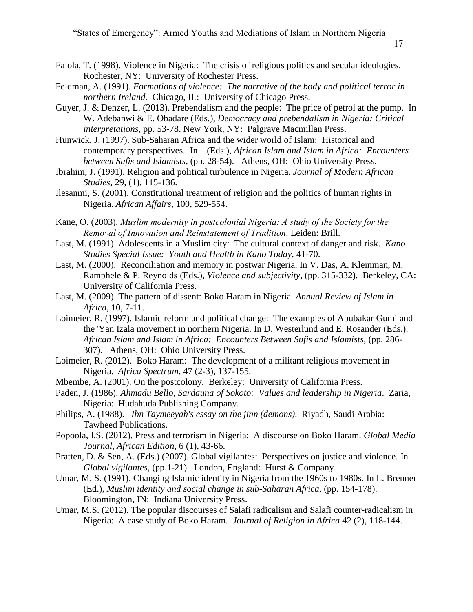- Falola, T. (1998). Violence in Nigeria: The crisis of religious politics and secular ideologies. Rochester, NY: University of Rochester Press.
- Feldman, A. (1991). *Formations of violence: The narrative of the body and political terror in northern Ireland.* Chicago, IL: University of Chicago Press.
- Guyer, J. & Denzer, L. (2013). Prebendalism and the people: The price of petrol at the pump. In W. Adebanwi & E. Obadare (Eds.), *Democracy and prebendalism in Nigeria: Critical interpretations*, pp. 53-78. New York, NY: Palgrave Macmillan Press.
- Hunwick, J. (1997). Sub-Saharan Africa and the wider world of Islam: Historical and contemporary perspectives. In (Eds.), *African Islam and Islam in Africa: Encounters between Sufis and Islamists,* (pp. 28-54). Athens, OH: Ohio University Press.
- Ibrahim, J. (1991). Religion and political turbulence in Nigeria. *Journal of Modern African Studies,* 29, (1), 115-136.
- Ilesanmi, S. (2001). Constitutional treatment of religion and the politics of human rights in Nigeria. *African Affairs*, 100, 529-554.
- Kane, O. (2003). *Muslim modernity in postcolonial Nigeria: A study of the Society for the Removal of Innovation and Reinstatement of Tradition*. Leiden: Brill.
- Last, M. (1991). Adolescents in a Muslim city: The cultural context of danger and risk. *Kano Studies Special Issue: Youth and Health in Kano Today,* 41-70.
- Last, M. (2000). Reconciliation and memory in postwar Nigeria. In V. Das, A. Kleinman, M. Ramphele & P. Reynolds (Eds.), *Violence and subjectivity*, (pp. 315-332). Berkeley, CA: University of California Press.
- Last, M. (2009). The pattern of dissent: Boko Haram in Nigeria. *Annual Review of Islam in Africa*, 10, 7-11.
- Loimeier, R. (1997). Islamic reform and political change: The examples of Abubakar Gumi and the 'Yan Izala movement in northern Nigeria. In D. Westerlund and E. Rosander (Eds.). *African Islam and Islam in Africa: Encounters Between Sufis and Islamists,* (pp. 286- 307). Athens, OH: Ohio University Press.
- Loimeier, R. (2012). Boko Haram: The development of a militant religious movement in Nigeria. *Africa Spectrum*, 47 (2-3), 137-155.
- Mbembe, A. (2001). On the postcolony. Berkeley: University of California Press.
- Paden, J. (1986). *Ahmadu Bello, Sardauna of Sokoto: Values and leadership in Nigeria*. Zaria, Nigeria: Hudahuda Publishing Company.
- Philips, A. (1988). *Ibn Taymeeyah's essay on the jinn (demons)*. Riyadh, Saudi Arabia: Tawheed Publications.
- Popoola, I.S. (2012). Press and terrorism in Nigeria: A discourse on Boko Haram. *Global Media Journal, African Edition*, 6 (1), 43-66.
- Pratten, D. & Sen, A. (Eds.) (2007). Global vigilantes: Perspectives on justice and violence. In *Global vigilantes*, (pp.1-21). London, England: Hurst & Company.
- Umar, M. S. (1991). Changing Islamic identity in Nigeria from the 1960s to 1980s. In L. Brenner (Ed.), *Muslim identity and social change in sub-Saharan Africa*, (pp. 154-178). Bloomington, IN: Indiana University Press.
- Umar, M.S. (2012). The popular discourses of Salafi radicalism and Salafi counter-radicalism in Nigeria: A case study of Boko Haram. *Journal of Religion in Africa* 42 (2), 118-144.